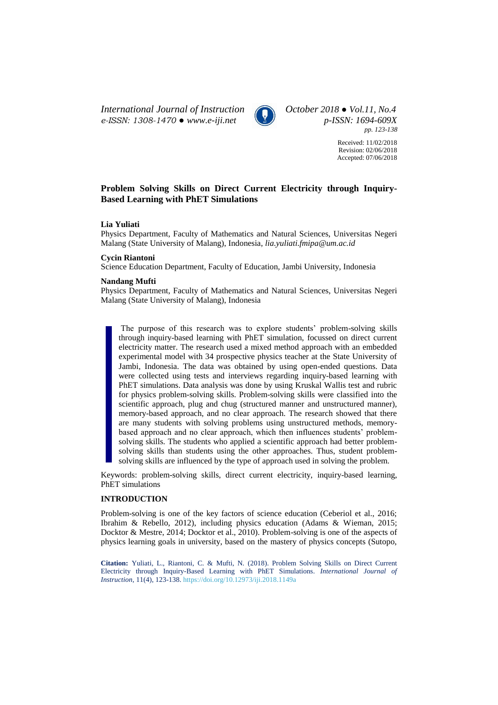*International Journal of Instruction October 2018 ● Vol.11, No.4 e-ISSN: 1308-1470 ● [www.e-iji.net](http://www.e-iji.net/) p-ISSN: 1694-609X*



*pp. 123-138*

Received: 11/02/2018 Revision: 02/06/2018 Accepted: 07/06/2018

# **Problem Solving Skills on Direct Current Electricity through Inquiry-Based Learning with PhET Simulations**

### **Lia Yuliati**

Physics Department, Faculty of Mathematics and Natural Sciences, Universitas Negeri Malang (State University of Malang), Indonesia, *lia.yuliati.fmipa@um.ac.id*

#### **Cycin Riantoni**

Science Education Department, Faculty of Education, Jambi University, Indonesia

### **Nandang Mufti**

Physics Department, Faculty of Mathematics and Natural Sciences, Universitas Negeri Malang (State University of Malang), Indonesia

The purpose of this research was to explore students' problem-solving skills through inquiry-based learning with PhET simulation, focussed on direct current electricity matter. The research used a mixed method approach with an embedded experimental model with 34 prospective physics teacher at the State University of Jambi, Indonesia. The data was obtained by using open-ended questions. Data were collected using tests and interviews regarding inquiry-based learning with PhET simulations. Data analysis was done by using Kruskal Wallis test and rubric for physics problem-solving skills. Problem-solving skills were classified into the scientific approach, plug and chug (structured manner and unstructured manner), memory-based approach, and no clear approach. The research showed that there are many students with solving problems using unstructured methods, memorybased approach and no clear approach, which then influences students' problemsolving skills. The students who applied a scientific approach had better problemsolving skills than students using the other approaches. Thus, student problemsolving skills are influenced by the type of approach used in solving the problem.

Keywords: problem-solving skills, direct current electricity, inquiry-based learning, PhET simulations

## **INTRODUCTION**

Problem-solving is one of the key factors of science education (Ceberiol et al., 2016; Ibrahim & Rebello, 2012), including physics education (Adams & Wieman, 2015; Docktor & Mestre, 2014; Docktor et al., 2010). Problem-solving is one of the aspects of physics learning goals in university, based on the mastery of physics concepts (Sutopo,

**Citation:** Yuliati, L., Riantoni, C. & Mufti, N. (2018). Problem Solving Skills on Direct Current Electricity through Inquiry-Based Learning with PhET Simulations. *International Journal of Instruction*, 11(4), 123-138. <https://doi.org/10.12973/iji.2018.1149a>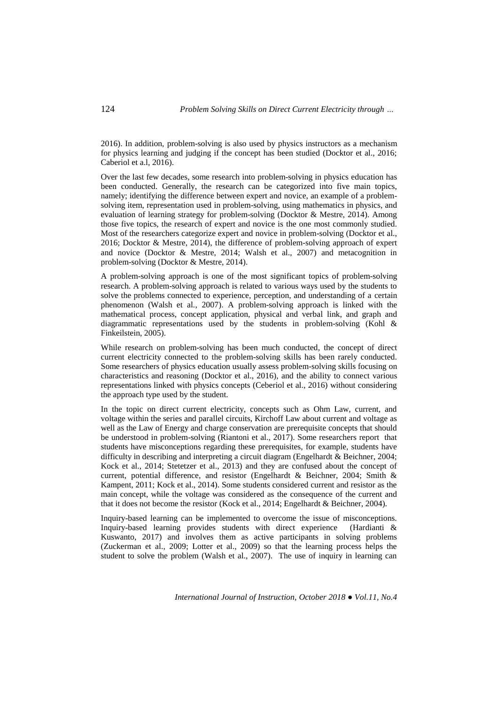2016). In addition, problem-solving is also used by physics instructors as a mechanism for physics learning and judging if the concept has been studied (Docktor et al., 2016; Caberiol et a.l, 2016).

Over the last few decades, some research into problem-solving in physics education has been conducted. Generally, the research can be categorized into five main topics, namely; identifying the difference between expert and novice, an example of a problemsolving item, representation used in problem-solving, using mathematics in physics, and evaluation of learning strategy for problem-solving (Docktor & Mestre, 2014). Among those five topics, the research of expert and novice is the one most commonly studied. Most of the researchers categorize expert and novice in problem-solving (Docktor et al., 2016; Docktor & Mestre, 2014), the difference of problem-solving approach of expert and novice (Docktor & Mestre, 2014; Walsh et al., 2007) and metacognition in problem-solving (Docktor & Mestre, 2014).

A problem-solving approach is one of the most significant topics of problem-solving research. A problem-solving approach is related to various ways used by the students to solve the problems connected to experience, perception, and understanding of a certain phenomenon (Walsh et al*.*, 2007). A problem-solving approach is linked with the mathematical process, concept application, physical and verbal link, and graph and diagrammatic representations used by the students in problem-solving (Kohl & Finkeilstein, 2005).

While research on problem-solving has been much conducted, the concept of direct current electricity connected to the problem-solving skills has been rarely conducted. Some researchers of physics education usually assess problem-solving skills focusing on characteristics and reasoning (Docktor et al., 2016), and the ability to connect various representations linked with physics concepts (Ceberiol et al., 2016) without considering the approach type used by the student.

In the topic on direct current electricity, concepts such as Ohm Law, current, and voltage within the series and parallel circuits, Kirchoff Law about current and voltage as well as the Law of Energy and charge conservation are prerequisite concepts that should be understood in problem-solving (Riantoni et al., 2017). Some researchers report that students have misconceptions regarding these prerequisites, for example, students have difficulty in describing and interpreting a circuit diagram (Engelhardt & Beichner, 2004; Kock et al., 2014; Stetetzer et al., 2013) and they are confused about the concept of current, potential difference, and resistor (Engelhardt & Beichner, 2004; Smith & Kampent, 2011; Kock et al., 2014). Some students considered current and resistor as the main concept, while the voltage was considered as the consequence of the current and that it does not become the resistor (Kock et al., 2014; Engelhardt & Beichner, 2004).

Inquiry-based learning can be implemented to overcome the issue of misconceptions. Inquiry-based learning provides students with direct experience (Hardianti & Kuswanto, 2017) and involves them as active participants in solving problems (Zuckerman et al., 2009; Lotter et al., 2009) so that the learning process helps the student to solve the problem (Walsh et al., 2007). The use of inquiry in learning can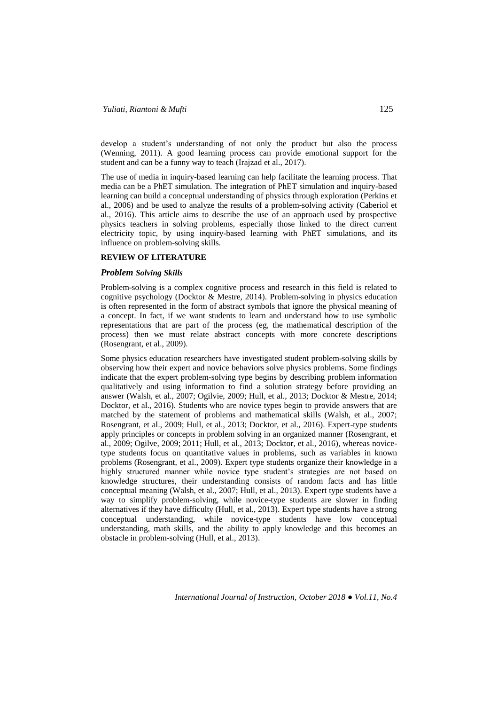develop a student's understanding of not only the product but also the process (Wenning, 2011). A good learning process can provide emotional support for the student and can be a funny way to teach (Irajzad et al., 2017).

The use of media in inquiry-based learning can help facilitate the learning process. That media can be a PhET simulation. The integration of PhET simulation and inquiry-based learning can build a conceptual understanding of physics through exploration (Perkins et al., 2006) and be used to analyze the results of a problem-solving activity (Caberiol et al., 2016). This article aims to describe the use of an approach used by prospective physics teachers in solving problems, especially those linked to the direct current electricity topic, by using inquiry-based learning with PhET simulations, and its influence on problem-solving skills.

#### **REVIEW OF LITERATURE**

#### *Problem Solving Skills*

Problem-solving is a complex cognitive process and research in this field is related to cognitive psychology (Docktor & Mestre, 2014). Problem-solving in physics education is often represented in the form of abstract symbols that ignore the physical meaning of a concept. In fact, if we want students to learn and understand how to use symbolic representations that are part of the process (eg, the mathematical description of the process) then we must relate abstract concepts with more concrete descriptions (Rosengrant, et al., 2009).

Some physics education researchers have investigated student problem-solving skills by observing how their expert and novice behaviors solve physics problems. Some findings indicate that the expert problem-solving type begins by describing problem information qualitatively and using information to find a solution strategy before providing an answer (Walsh, et al., 2007; Ogilvie, 2009; Hull, et al., 2013; Docktor & Mestre, 2014; Docktor, et al., 2016). Students who are novice types begin to provide answers that are matched by the statement of problems and mathematical skills (Walsh, et al., 2007; Rosengrant, et al., 2009; Hull, et al., 2013; Docktor, et al., 2016). Expert-type students apply principles or concepts in problem solving in an organized manner (Rosengrant, et al., 2009; Ogilve, 2009; 2011; Hull, et al., 2013; Docktor, et al., 2016), whereas novicetype students focus on quantitative values in problems, such as variables in known problems (Rosengrant, et al., 2009). Expert type students organize their knowledge in a highly structured manner while novice type student's strategies are not based on knowledge structures, their understanding consists of random facts and has little conceptual meaning (Walsh, et al., 2007; Hull, et al., 2013). Expert type students have a way to simplify problem-solving, while novice-type students are slower in finding alternatives if they have difficulty (Hull, et al., 2013). Expert type students have a strong conceptual understanding, while novice-type students have low conceptual understanding, math skills, and the ability to apply knowledge and this becomes an obstacle in problem-solving (Hull, et al., 2013).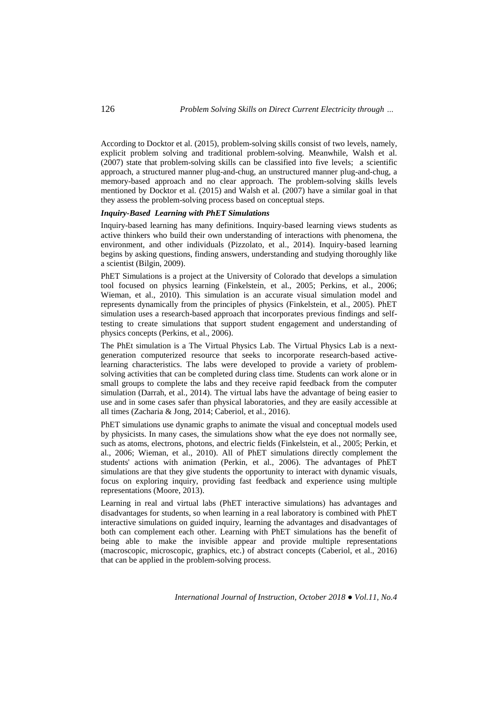According to Docktor et al. (2015), problem-solving skills consist of two levels, namely, explicit problem solving and traditional problem-solving. Meanwhile, Walsh et al. (2007) state that problem-solving skills can be classified into five levels; a scientific approach, a structured manner plug-and-chug, an unstructured manner plug-and-chug, a memory-based approach and no clear approach. The problem-solving skills levels mentioned by Docktor et al. (2015) and Walsh et al. (2007) have a similar goal in that they assess the problem-solving process based on conceptual steps.

#### *Inquiry-Based Learning with PhET Simulations*

Inquiry-based learning has many definitions. Inquiry-based learning views students as active thinkers who build their own understanding of interactions with phenomena, the environment, and other individuals (Pizzolato, et al., 2014). Inquiry-based learning begins by asking questions, finding answers, understanding and studying thoroughly like a scientist (Bilgin, 2009).

PhET Simulations is a project at the University of Colorado that develops a simulation tool focused on physics learning (Finkelstein, et al., 2005; Perkins, et al., 2006; Wieman, et al., 2010). This simulation is an accurate visual simulation model and represents dynamically from the principles of physics (Finkelstein, et al., 2005). PhET simulation uses a research-based approach that incorporates previous findings and selftesting to create simulations that support student engagement and understanding of physics concepts (Perkins, et al., 2006).

The PhEt simulation is a The Virtual Physics Lab. The Virtual Physics Lab is a nextgeneration computerized resource that seeks to incorporate research-based activelearning characteristics. The labs were developed to provide a variety of problemsolving activities that can be completed during class time. Students can work alone or in small groups to complete the labs and they receive rapid feedback from the computer simulation (Darrah, et al., 2014). The virtual labs have the advantage of being easier to use and in some cases safer than physical laboratories, and they are easily accessible at all times (Zacharia & Jong, 2014; Caberiol, et al., 2016).

PhET simulations use dynamic graphs to animate the visual and conceptual models used by physicists. In many cases, the simulations show what the eye does not normally see, such as atoms, electrons, photons, and electric fields (Finkelstein, et al., 2005; Perkin, et al., 2006; Wieman, et al., 2010). All of PhET simulations directly complement the students' actions with animation (Perkin, et al., 2006). The advantages of PhET simulations are that they give students the opportunity to interact with dynamic visuals, focus on exploring inquiry, providing fast feedback and experience using multiple representations (Moore, 2013).

Learning in real and virtual labs (PhET interactive simulations) has advantages and disadvantages for students, so when learning in a real laboratory is combined with PhET interactive simulations on guided inquiry, learning the advantages and disadvantages of both can complement each other. Learning with PhET simulations has the benefit of being able to make the invisible appear and provide multiple representations (macroscopic, microscopic, graphics, etc.) of abstract concepts (Caberiol, et al., 2016) that can be applied in the problem-solving process.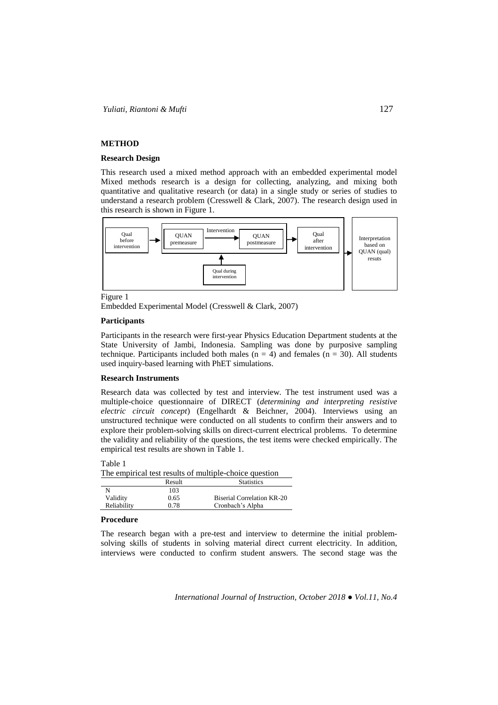*Yuliati, Riantoni & Mufti* 127

## **METHOD**

#### **Research Design**

This research used a mixed method approach with an embedded experimental model Mixed methods research is a design for collecting, analyzing, and mixing both quantitative and qualitative research (or data) in a single study or series of studies to understand a research problem (Cresswell & Clark, 2007). The research design used in this research is shown in Figure 1.



Figure 1

Embedded Experimental Model (Cresswell & Clark, 2007)

# **Participants**

Participants in the research were first-year Physics Education Department students at the State University of Jambi, Indonesia. Sampling was done by purposive sampling technique. Participants included both males ( $n = 4$ ) and females ( $n = 30$ ). All students used inquiry-based learning with PhET simulations.

### **Research Instruments**

Research data was collected by test and interview. The test instrument used was a multiple-choice questionnaire of DIRECT (*determining and interpreting resistive electric circuit concept*) (Engelhardt & Beichner, 2004). Interviews using an unstructured technique were conducted on all students to confirm their answers and to explore their problem-solving skills on direct-current electrical problems. To determine the validity and reliability of the questions, the test items were checked empirically. The empirical test results are shown in Table 1.

Table 1

The empirical test results of multiple-choice question

|             | Result | <b>Statistics</b>                 |
|-------------|--------|-----------------------------------|
| N           | 103    |                                   |
| Validitv    | 0.65   | <b>Biserial Correlation KR-20</b> |
| Reliability | 0.78   | Cronbach's Alpha                  |

### **Procedure**

The research began with a pre-test and interview to determine the initial problemsolving skills of students in solving material direct current electricity. In addition, interviews were conducted to confirm student answers. The second stage was the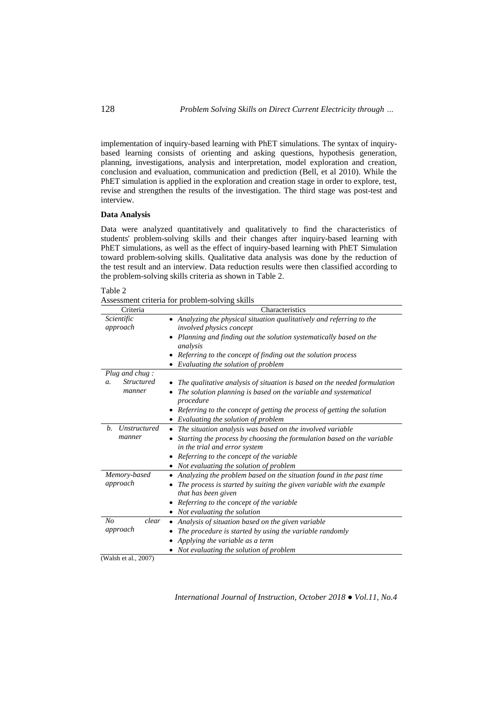implementation of inquiry-based learning with PhET simulations. The syntax of inquirybased learning consists of orienting and asking questions, hypothesis generation, planning, investigations, analysis and interpretation, model exploration and creation, conclusion and evaluation, communication and prediction (Bell, et al 2010). While the PhET simulation is applied in the exploration and creation stage in order to explore, test, revise and strengthen the results of the investigation. The third stage was post-test and interview.

### **Data Analysis**

Data were analyzed quantitatively and qualitatively to find the characteristics of students' problem-solving skills and their changes after inquiry-based learning with PhET simulations, as well as the effect of inquiry-based learning with PhET Simulation toward problem-solving skills. Qualitative data analysis was done by the reduction of the test result and an interview. Data reduction results were then classified according to the problem-solving skills criteria as shown in Table 2.

Table 2

| Assessment criteria for problem-solving skills |  |
|------------------------------------------------|--|
|------------------------------------------------|--|

| Criteria                              | Characteristics                                                               |  |
|---------------------------------------|-------------------------------------------------------------------------------|--|
| Scientific                            | • Analyzing the physical situation qualitatively and referring to the         |  |
| approach                              | <i>involved physics concept</i>                                               |  |
|                                       | Planning and finding out the solution systematically based on the<br>analysis |  |
|                                       | Referring to the concept of finding out the solution process                  |  |
|                                       | Evaluating the solution of problem                                            |  |
| Plug and chug:                        |                                                                               |  |
| <i>Structured</i><br>$\mathfrak{a}$ . | The qualitative analysis of situation is based on the needed formulation      |  |
| manner                                | The solution planning is based on the variable and systematical               |  |
|                                       | procedure                                                                     |  |
|                                       | Referring to the concept of getting the process of getting the solution       |  |
|                                       | Evaluating the solution of problem                                            |  |
| b.<br><b>Unstructured</b>             | The situation analysis was based on the involved variable<br>$\bullet$        |  |
| manner                                | Starting the process by choosing the formulation based on the variable        |  |
|                                       | in the trial and error system                                                 |  |
|                                       | Referring to the concept of the variable                                      |  |
|                                       | • Not evaluating the solution of problem                                      |  |
| Memory-based                          | Analyzing the problem based on the situation found in the past time           |  |
| approach                              | The process is started by suiting the given variable with the example         |  |
|                                       | that has been given                                                           |  |
|                                       | Referring to the concept of the variable                                      |  |
|                                       | • Not evaluating the solution                                                 |  |
| N <sub>O</sub><br>clear<br>approach   | • Analysis of situation based on the given variable                           |  |
|                                       | The procedure is started by using the variable randomly                       |  |
|                                       | Applying the variable as a term                                               |  |
|                                       | • Not evaluating the solution of problem                                      |  |

(Walsh et al*.*, 2007)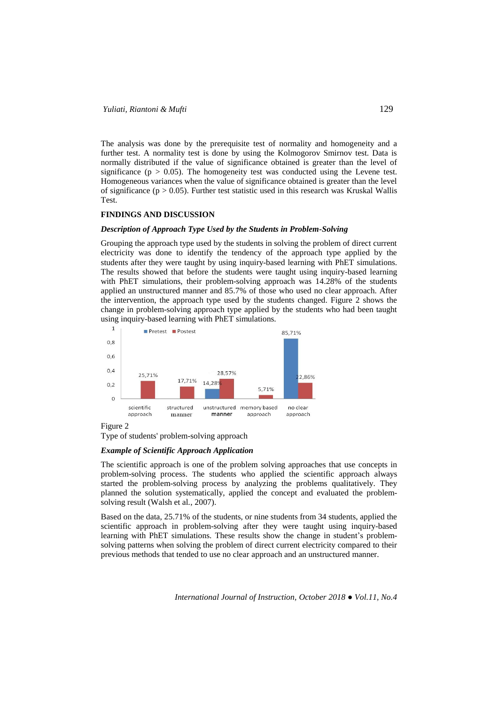The analysis was done by the prerequisite test of normality and homogeneity and a further test. A normality test is done by using the Kolmogorov Smirnov test. Data is normally distributed if the value of significance obtained is greater than the level of significance ( $p > 0.05$ ). The homogeneity test was conducted using the Levene test. Homogeneous variances when the value of significance obtained is greater than the level of significance ( $p > 0.05$ ). Further test statistic used in this research was Kruskal Wallis Test.

# **FINDINGS AND DISCUSSION**

### *Description of Approach Type Used by the Students in Problem-Solving*

Grouping the approach type used by the students in solving the problem of direct current electricity was done to identify the tendency of the approach type applied by the students after they were taught by using inquiry-based learning with PhET simulations. The results showed that before the students were taught using inquiry-based learning with PhET simulations, their problem-solving approach was 14.28% of the students applied an unstructured manner and 85.7% of those who used no clear approach. After the intervention, the approach type used by the students changed. Figure 2 shows the change in problem-solving approach type applied by the students who had been taught using inquiry-based learning with PhET simulations.



Figure 2

#### *Example of Scientific Approach Application*

The scientific approach is one of the problem solving approaches that use concepts in problem-solving process. The students who applied the scientific approach always started the problem-solving process by analyzing the problems qualitatively. They planned the solution systematically, applied the concept and evaluated the problemsolving result (Walsh et al*.*, 2007).

Based on the data, 25.71% of the students, or nine students from 34 students, applied the scientific approach in problem-solving after they were taught using inquiry-based learning with PhET simulations. These results show the change in student's problemsolving patterns when solving the problem of direct current electricity compared to their previous methods that tended to use no clear approach and an unstructured manner.

Type of students' problem-solving approach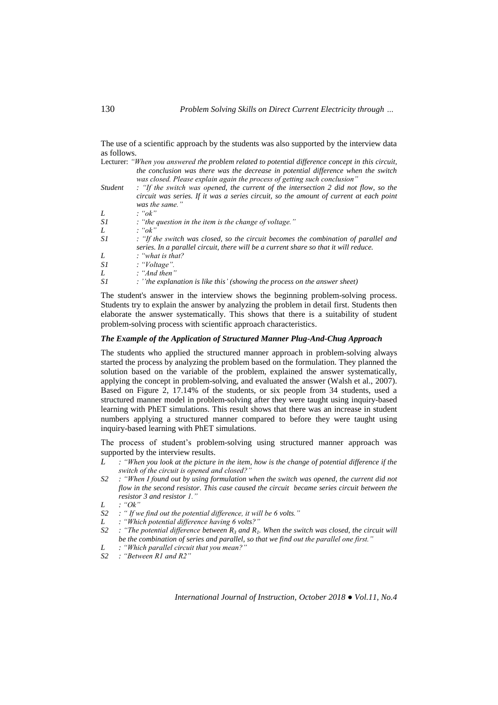The use of a scientific approach by the students was also supported by the interview data as follows.

|                | Lecturer: "When you answered the problem related to potential difference concept in this circuit,                                                             |
|----------------|---------------------------------------------------------------------------------------------------------------------------------------------------------------|
|                | the conclusion was there was the decrease in potential difference when the switch<br>was closed. Please explain again the process of getting such conclusion" |
| <i>Student</i> | : "If the switch was opened, the current of the intersection 2 did not flow, so the                                                                           |
|                | circuit was series. If it was a series circuit, so the amount of current at each point                                                                        |
|                | was the same."                                                                                                                                                |
| L              | : "ok"                                                                                                                                                        |
| -S I           | : "the question in the item is the change of voltage."                                                                                                        |
| L              | : "ok"                                                                                                                                                        |
| S1             | : "If the switch was closed, so the circuit becomes the combination of parallel and                                                                           |
|                | series. In a parallel circuit, there will be a current share so that it will reduce.                                                                          |
| L              | : "what is that?                                                                                                                                              |
| -S1            | : "Voltage".                                                                                                                                                  |
| L              | : "And then"                                                                                                                                                  |
| -S I           | : "the explanation is like this" (showing the process on the answer sheet)                                                                                    |
|                |                                                                                                                                                               |

The student's answer in the interview shows the beginning problem-solving process. Students try to explain the answer by analyzing the problem in detail first. Students then elaborate the answer systematically. This shows that there is a suitability of student problem-solving process with scientific approach characteristics.

### *The Example of the Application of Structured Manner Plug-And-Chug Approach*

The students who applied the structured manner approach in problem-solving always started the process by analyzing the problem based on the formulation. They planned the solution based on the variable of the problem, explained the answer systematically, applying the concept in problem-solving, and evaluated the answer (Walsh et al., 2007). Based on Figure 2, 17.14% of the students, or six people from 34 students, used a structured manner model in problem-solving after they were taught using inquiry-based learning with PhET simulations. This result shows that there was an increase in student numbers applying a structured manner compared to before they were taught using inquiry-based learning with PhET simulations.

The process of student's problem-solving using structured manner approach was supported by the interview results.

- *L : "When you look at the picture in the item, how is the change of potential difference if the switch of the circuit is opened and closed?"*
- *S2 : "When I found out by using formulation when the switch was opened, the current did not flow in the second resistor. This case caused the circuit became series circuit between the resistor 3 and resistor 1."*
- *L : "Ok"*
- *S2 : " If we find out the potential difference, it will be 6 volts."*
- *L : "Which potential difference having 6 volts?"*
- *S2 : "The potential difference between R<sup>3</sup> and R<sup>1</sup> . When the switch was closed, the circuit will be the combination of series and parallel, so that we find out the parallel one first."*
- *L : "Which parallel circuit that you mean?"*
- *S2 : "Between R1 and R2"*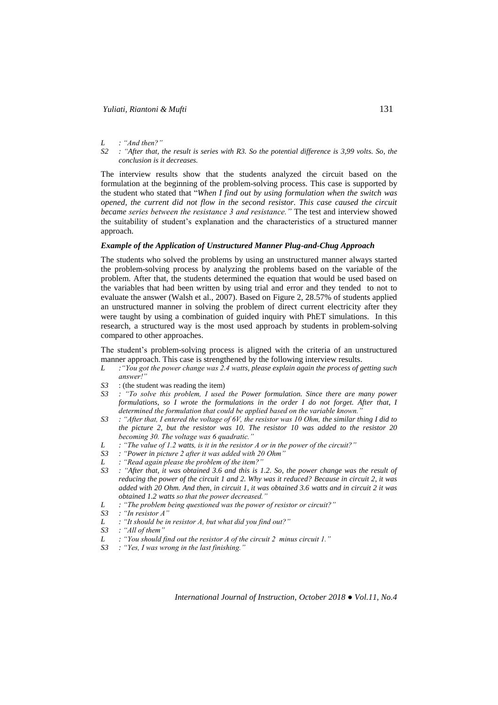- *L : "And then?"*
- *S2 : "After that, the result is series with R3. So the potential difference is 3,99 volts. So, the conclusion is it decreases.*

The interview results show that the students analyzed the circuit based on the formulation at the beginning of the problem-solving process. This case is supported by the student who stated that "*When I find out by using formulation when the switch was opened, the current did not flow in the second resistor. This case caused the circuit became series between the resistance 3 and resistance."* The test and interview showed the suitability of student's explanation and the characteristics of a structured manner approach.

### *Example of the Application of Unstructured Manner Plug-and-Chug Approach*

The students who solved the problems by using an unstructured manner always started the problem-solving process by analyzing the problems based on the variable of the problem. After that, the students determined the equation that would be used based on the variables that had been written by using trial and error and they tended to not to evaluate the answer (Walsh et al., 2007). Based on Figure 2, 28.57% of students applied an unstructured manner in solving the problem of direct current electricity after they were taught by using a combination of guided inquiry with PhET simulations. In this research, a structured way is the most used approach by students in problem-solving compared to other approaches.

The student's problem-solving process is aligned with the criteria of an unstructured manner approach. This case is strengthened by the following interview results.

- *L :"You got the power change was 2.4 watts, please explain again the process of getting such answer!"*
- *S3* : (the student was reading the item)
- *S3 : "To solve this problem, I used the Power formulation. Since there are many power formulations, so I wrote the formulations in the order I do not forget. After that, I determined the formulation that could be applied based on the variable known.*
- *S3 : "After that, I entered the voltage of 6V, the resistor was 10 Ohm, the similar thing I did to the picture 2, but the resistor was 10. The resistor 10 was added to the resistor 20 becoming 30. The voltage was 6 quadratic."*
- *L : "The value of 1.2 watts, is it in the resistor A or in the power of the circuit?"*
- *S3 : "Power in picture 2 after it was added with 20 Ohm"*
- *L : "Read again please the problem of the item?"*
- *S3 : "After that, it was obtained 3.6 and this is 1.2. So, the power change was the result of reducing the power of the circuit 1 and 2. Why was it reduced? Because in circuit 2, it was added with 20 Ohm. And then, in circuit 1, it was obtained 3.6 watts and in circuit 2 it was obtained 1.2 watts so that the power decreased."*
- *L : "The problem being questioned was the power of resistor or circuit?"*
- *S3 : "In resistor A"*
- *L : "It should be in resistor A, but what did you find out?"*
- *S3 : "All of them"*
- *L : "You should find out the resistor A of the circuit 2 minus circuit 1."*
- *S3 : "Yes, I was wrong in the last finishing."*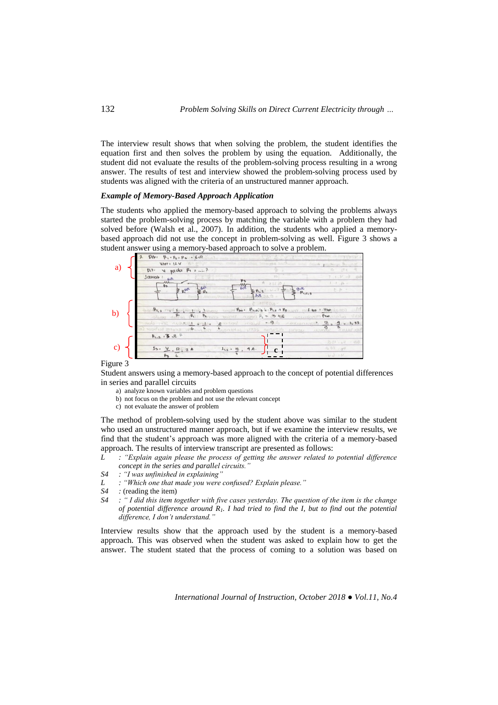The interview result shows that when solving the problem, the student identifies the equation first and then solves the problem by using the equation. Additionally, the student did not evaluate the results of the problem-solving process resulting in a wrong answer. The results of test and interview showed the problem-solving process used by students was aligned with the criteria of an unstructured manner approach.

## *Example of Memory-Based Approach Application*

The students who applied the memory-based approach to solving the problems always started the problem-solving process by matching the variable with a problem they had solved before (Walsh et al., 2007). In addition, the students who applied a memorybased approach did not use the concept in problem-solving as well. Figure 3 shows a student answer using a memory-based approach to solve a problem.



Figure 3

Student answers using a memory-based approach to the concept of potential differences in series and parallel circuits

- a) analyze known variables and problem questions
- b) not focus on the problem and not use the relevant concept
- c) not evaluate the answer of problem

The method of problem-solving used by the student above was similar to the student who used an unstructured manner approach, but if we examine the interview results, we find that the student's approach was more aligned with the criteria of a memory-based approach. The results of interview transcript are presented as follows:<br> $L$ : "Explain again please the process of getting the answer related to

- *L : "Explain again please the process of getting the answer related to potential difference concept in the series and parallel circuits."*
- *S4 : "I was unfinished in explaining"*
- *L : "Which one that made you were confused? Explain please."*
- *S4 :* (reading the item)
- *S4 : " I did this item together with five cases yesterday. The question of the item is the change of potential difference around R<sup>1</sup> . I had tried to find the I, but to find out the potential difference, I don't understand."*

Interview results show that the approach used by the student is a memory-based approach. This was observed when the student was asked to explain how to get the answer. The student stated that the process of coming to a solution was based on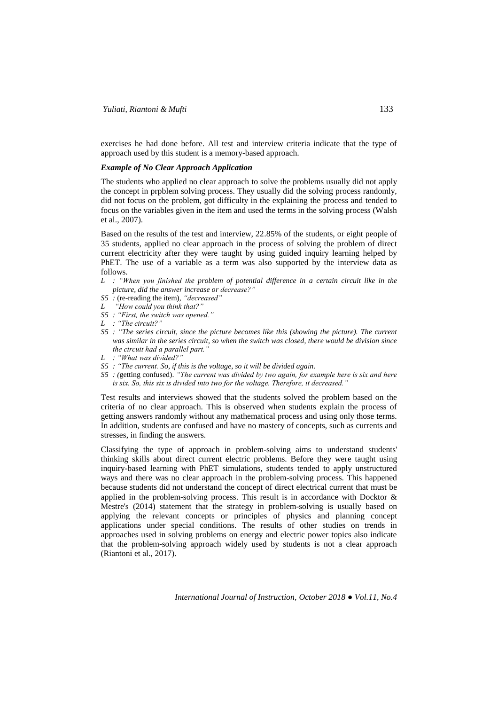exercises he had done before. All test and interview criteria indicate that the type of approach used by this student is a memory-based approach.

## *Example of No Clear Approach Application*

The students who applied no clear approach to solve the problems usually did not apply the concept in prpblem solving process. They usually did the solving process randomly, did not focus on the problem, got difficulty in the explaining the process and tended to focus on the variables given in the item and used the terms in the solving process (Walsh et al., 2007).

Based on the results of the test and interview, 22.85% of the students, or eight people of 35 students, applied no clear approach in the process of solving the problem of direct current electricity after they were taught by using guided inquiry learning helped by PhET. The use of a variable as a term was also supported by the interview data as follows.

- *L : "When you finished the problem of potential difference in a certain circuit like in the picture, did the answer increase or decrease?"*
- *S5 :* (re-reading the item), *"decreased"*
- *L "How could you think that?"*
- *S5 : "First, the switch was opened."*
- *L : "The circuit?"*
- *S5 : "The series circuit, since the picture becomes like this (showing the picture). The current was similar in the series circuit, so when the switch was closed, there would be division since the circuit had a parallel part."*
- *L : "What was divided?"*
- *S5 : "The current. So, if this is the voltage, so it will be divided again.*
- *S5 : (*getting confused). *"The current was divided by two again, for example here is six and here is six. So, this six is divided into two for the voltage. Therefore, it decreased."*

Test results and interviews showed that the students solved the problem based on the criteria of no clear approach. This is observed when students explain the process of getting answers randomly without any mathematical process and using only those terms. In addition, students are confused and have no mastery of concepts, such as currents and stresses, in finding the answers.

Classifying the type of approach in problem-solving aims to understand students' thinking skills about direct current electric problems. Before they were taught using inquiry-based learning with PhET simulations, students tended to apply unstructured ways and there was no clear approach in the problem-solving process. This happened because students did not understand the concept of direct electrical current that must be applied in the problem-solving process. This result is in accordance with Docktor & Mestre's (2014) statement that the strategy in problem-solving is usually based on applying the relevant concepts or principles of physics and planning concept applications under special conditions. The results of other studies on trends in approaches used in solving problems on energy and electric power topics also indicate that the problem-solving approach widely used by students is not a clear approach (Riantoni et al., 2017).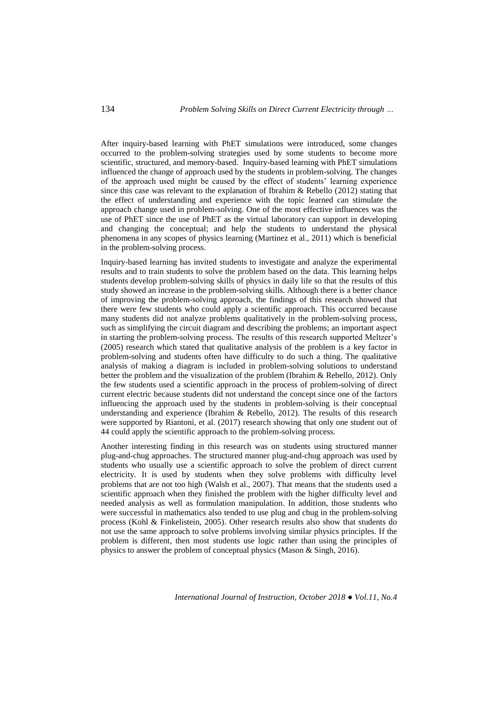After inquiry-based learning with PhET simulations were introduced, some changes occurred to the problem-solving strategies used by some students to become more scientific, structured, and memory-based. Inquiry-based learning with PhET simulations influenced the change of approach used by the students in problem-solving. The changes of the approach used might be caused by the effect of students' learning experience since this case was relevant to the explanation of Ibrahim  $\&$  Rebello (2012) stating that the effect of understanding and experience with the topic learned can stimulate the approach change used in problem-solving. One of the most effective influences was the use of PhET since the use of PhET as the virtual laboratory can support in developing and changing the conceptual; and help the students to understand the physical phenomena in any scopes of physics learning (Martinez et al., 2011) which is beneficial in the problem-solving process.

Inquiry-based learning has invited students to investigate and analyze the experimental results and to train students to solve the problem based on the data. This learning helps students develop problem-solving skills of physics in daily life so that the results of this study showed an increase in the problem-solving skills. Although there is a better chance of improving the problem-solving approach, the findings of this research showed that there were few students who could apply a scientific approach. This occurred because many students did not analyze problems qualitatively in the problem-solving process, such as simplifying the circuit diagram and describing the problems; an important aspect in starting the problem-solving process. The results of this research supported Meltzer's (2005) research which stated that qualitative analysis of the problem is a key factor in problem-solving and students often have difficulty to do such a thing. The qualitative analysis of making a diagram is included in problem-solving solutions to understand better the problem and the visualization of the problem (Ibrahim & Rebello, 2012). Only the few students used a scientific approach in the process of problem-solving of direct current electric because students did not understand the concept since one of the factors influencing the approach used by the students in problem-solving is their conceptual understanding and experience (Ibrahim & Rebello, 2012). The results of this research were supported by Riantoni, et al. (2017) research showing that only one student out of 44 could apply the scientific approach to the problem-solving process.

Another interesting finding in this research was on students using structured manner plug-and-chug approaches. The structured manner plug-and-chug approach was used by students who usually use a scientific approach to solve the problem of direct current electricity. It is used by students when they solve problems with difficulty level problems that are not too high (Walsh et al., 2007). That means that the students used a scientific approach when they finished the problem with the higher difficulty level and needed analysis as well as formulation manipulation. In addition, those students who were successful in mathematics also tended to use plug and chug in the problem-solving process (Kohl & Finkelistein, 2005). Other research results also show that students do not use the same approach to solve problems involving similar physics principles. If the problem is different, then most students use logic rather than using the principles of physics to answer the problem of conceptual physics (Mason & Singh, 2016).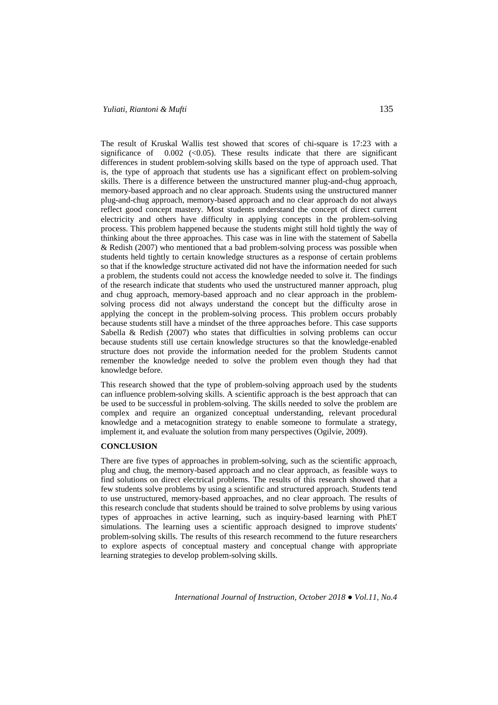The result of Kruskal Wallis test showed that scores of chi-square is 17:23 with a significance of  $0.002$  (<0.05). These results indicate that there are significant differences in student problem-solving skills based on the type of approach used. That is, the type of approach that students use has a significant effect on problem-solving skills. There is a difference between the unstructured manner plug-and-chug approach, memory-based approach and no clear approach. Students using the unstructured manner plug-and-chug approach, memory-based approach and no clear approach do not always reflect good concept mastery. Most students understand the concept of direct current electricity and others have difficulty in applying concepts in the problem-solving process. This problem happened because the students might still hold tightly the way of thinking about the three approaches. This case was in line with the statement of Sabella & Redish (2007) who mentioned that a bad problem-solving process was possible when students held tightly to certain knowledge structures as a response of certain problems so that if the knowledge structure activated did not have the information needed for such a problem, the students could not access the knowledge needed to solve it. The findings of the research indicate that students who used the unstructured manner approach, plug and chug approach, memory-based approach and no clear approach in the problemsolving process did not always understand the concept but the difficulty arose in applying the concept in the problem-solving process. This problem occurs probably because students still have a mindset of the three approaches before. This case supports Sabella  $\&$  Redish (2007) who states that difficulties in solving problems can occur because students still use certain knowledge structures so that the knowledge-enabled structure does not provide the information needed for the problem Students cannot remember the knowledge needed to solve the problem even though they had that knowledge before.

This research showed that the type of problem-solving approach used by the students can influence problem-solving skills. A scientific approach is the best approach that can be used to be successful in problem-solving. The skills needed to solve the problem are complex and require an organized conceptual understanding, relevant procedural knowledge and a metacognition strategy to enable someone to formulate a strategy, implement it, and evaluate the solution from many perspectives (Ogilvie, 2009).

# **CONCLUSION**

There are five types of approaches in problem-solving, such as the scientific approach, plug and chug, the memory-based approach and no clear approach, as feasible ways to find solutions on direct electrical problems. The results of this research showed that a few students solve problems by using a scientific and structured approach. Students tend to use unstructured, memory-based approaches, and no clear approach. The results of this research conclude that students should be trained to solve problems by using various types of approaches in active learning, such as inquiry-based learning with PhET simulations. The learning uses a scientific approach designed to improve students' problem-solving skills. The results of this research recommend to the future researchers to explore aspects of conceptual mastery and conceptual change with appropriate learning strategies to develop problem-solving skills.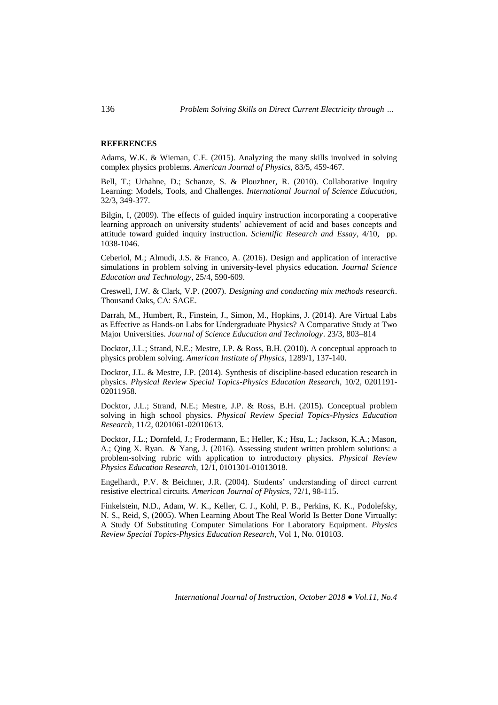# **REFERENCES**

Adams, W.K. & Wieman, C.E. (2015). Analyzing the many skills involved in solving complex physics problems. *American Journal of Physics*, 83/5, 459-467.

Bell, T.; Urhahne, D.; Schanze, S. & Plouzhner, R. (2010). Collaborative Inquiry Learning: Models, Tools, and Challenges. *International Journal of Science Education*, 32/3, 349-377.

Bilgin, I, (2009). The effects of guided inquiry instruction incorporating a cooperative learning approach on university students' achievement of acid and bases concepts and attitude toward guided inquiry instruction. *Scientific Research and Essay*, 4/10, pp. 1038-1046.

Ceberiol, M.; Almudi, J.S. & Franco, A. (2016). Design and application of interactive simulations in problem solving in university-level physics education. *Journal Science Education and Technology*, 25/4, 590-609.

Creswell, J.W. & Clark, V.P. (2007). *Designing and conducting mix methods research*. Thousand Oaks, CA: SAGE.

Darrah, M., Humbert, R., Finstein, J., Simon, M., Hopkins, J. (2014). Are Virtual Labs as Effective as Hands-on Labs for Undergraduate Physics? A Comparative Study at Two Major Universities. *Journal of Science Education and Technology*. 23/3, 803–814

Docktor, J.L.; Strand, N.E.; Mestre, J.P. & Ross, B.H. (2010). A conceptual approach to physics problem solving. *American Institute of Physics,* 1289/1, 137-140.

Docktor, J.L. & Mestre, J.P. (2014). Synthesis of discipline-based education research in physics. *Physical Review Special Topics-Physics Education Research*, 10/2, 0201191- 02011958.

Docktor, J.L.; Strand, N.E.; Mestre, J.P. & Ross, B.H. (2015). Conceptual problem solving in high school physics. *Physical Review Special Topics-Physics Education Research,* 11/2, 0201061-02010613.

Docktor, J.L.; Dornfeld, J.; Frodermann, E.; Heller, K.; Hsu, L.; Jackson, K.A.; Mason, A.; Qing X. Ryan. & Yang, J. (2016). Assessing student written problem solutions: a problem-solving rubric with application to introductory physics. *Physical Review Physics Education Research,* 12/1, 0101301-01013018.

Engelhardt, P.V. & Beichner, J.R. (2004). Students' understanding of direct current resistive electrical circuits. *American Journal of Physics*, 72/1, 98-115.

Finkelstein, N.D., Adam, W. K., Keller, C. J., Kohl, P. B., Perkins, K. K., Podolefsky, N. S., Reid, S, (2005). When Learning About The Real World Is Better Done Virtually: A Study Of Substituting Computer Simulations For Laboratory Equipment. *Physics Review Special Topics-Physics Education Research*, Vol 1, No. 010103.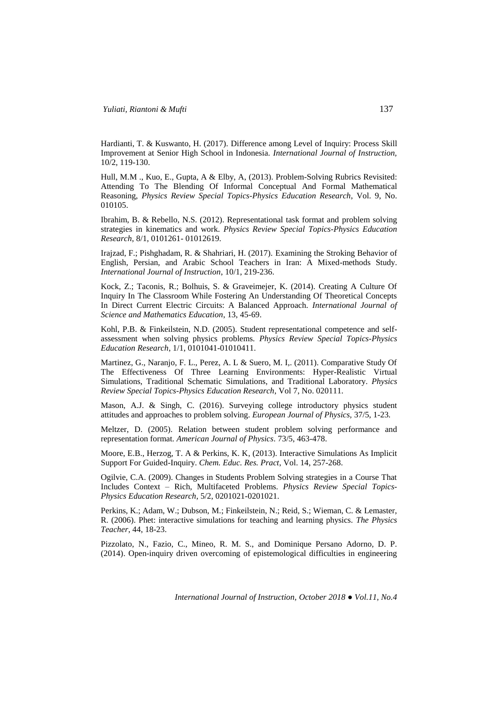Hardianti, T. & Kuswanto, H. (2017). Difference among Level of Inquiry: Process Skill Improvement at Senior High School in Indonesia. *International Journal of Instruction,* 10/2, 119-130.

Hull, M.M ., Kuo, E., Gupta, A & Elby, A, (2013). Problem-Solving Rubrics Revisited: Attending To The Blending Of Informal Conceptual And Formal Mathematical Reasoning, *Physics Review Special Topics-Physics Education Research*, Vol. 9, No. 010105.

Ibrahim, B. & Rebello, N.S. (2012). Representational task format and problem solving strategies in kinematics and work. *Physics Review Special Topics-Physics Education Research*, 8/1, 0101261- 01012619.

Irajzad, F.; Pishghadam, R. & Shahriari, H. (2017). Examining the Stroking Behavior of English, Persian, and Arabic School Teachers in Iran: A Mixed-methods Study. *International Journal of Instruction*, 10/1, 219-236.

Kock, Z.; Taconis, R.; Bolhuis, S. & Graveimejer, K. (2014). Creating A Culture Of Inquiry In The Classroom While Fostering An Understanding Of Theoretical Concepts In Direct Current Electric Circuits: A Balanced Approach*. International Journal of Science and Mathematics Education*, 13, 45-69.

Kohl, P.B. & Finkeilstein, N.D. (2005). Student representational competence and selfassessment when solving physics problems. *Physics Review Special Topics-Physics Education Research*, 1/1, 0101041-01010411.

Martinez, G., Naranjo, F. L., Perez, A. L & Suero, M. I,. (2011). Comparative Study Of The Effectiveness Of Three Learning Environments: Hyper-Realistic Virtual Simulations, Traditional Schematic Simulations, and Traditional Laboratory. *Physics Review Special Topics-Physics Education Research*, Vol 7, No. 020111.

Mason, A.J. & Singh, C. (2016). Surveying college introductory physics student attitudes and approaches to problem solving. *European Journal of Physics,* 37/5, 1-23*.*

Meltzer, D. (2005). Relation between student problem solving performance and representation format. *American Journal of Physics*. 73/5, 463-478.

Moore, E.B., Herzog, T. A & Perkins, K. K, (2013). Interactive Simulations As Implicit Support For Guided-Inquiry. *Chem. Educ. Res. Pract*, Vol. 14, 257-268.

Ogilvie, C.A. (2009). Changes in Students Problem Solving strategies in a Course That Includes Context – Rich, Multifaceted Problems. *Physics Review Special Topics-Physics Education Research*, 5/2, 0201021-0201021.

Perkins, K.; Adam, W.; Dubson, M.; Finkeilstein, N.; Reid, S.; Wieman, C. & Lemaster, R. (2006). Phet: interactive simulations for teaching and learning physics. *The Physics Teacher*, 44, 18-23.

Pizzolato, N., Fazio, C., Mineo, R. M. S., and Dominique Persano Adorno, D. P. (2014). Open-inquiry driven overcoming of epistemological difficulties in engineering